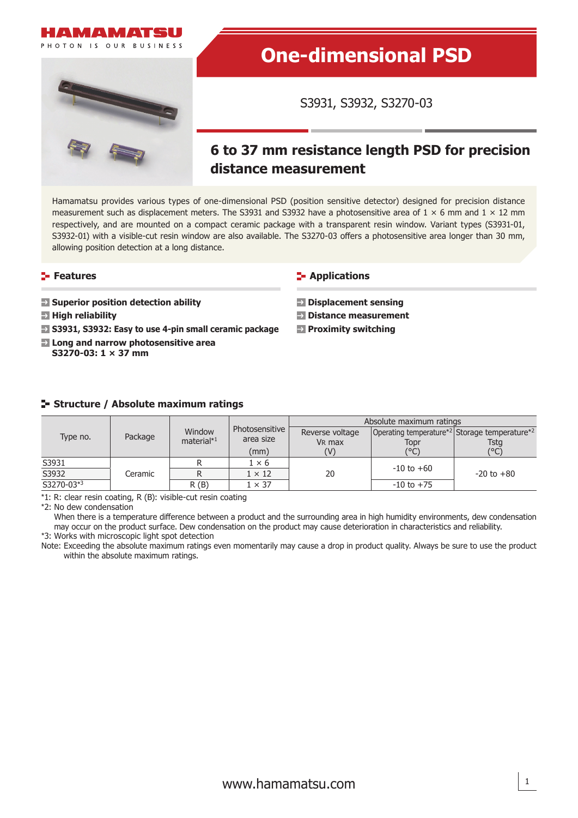



# **One-dimensional PSD**

S3931, S3932, S3270-03

## **6 to 37 mm resistance length PSD for precision distance measurement**

Hamamatsu provides various types of one-dimensional PSD (position sensitive detector) designed for precision distance measurement such as displacement meters. The S3931 and S3932 have a photosensitive area of  $1 \times 6$  mm and  $1 \times 12$  mm respectively, and are mounted on a compact ceramic package with a transparent resin window. Variant types (S3931-01, S3932-01) with a visible-cut resin window are also available. The S3270-03 offers a photosensitive area longer than 30 mm, allowing position detection at a long distance.

## **Features**

- **B** Superior position detection ability
- **E** High reliability
- **S3931, S3932: Easy to use 4-pin small ceramic package**
- **Long and narrow photosensitive area S3270-03: 1 × 37 mm**

**E-** Applications

- **Displacement sensing**
- **Distance measurement**
- **Proximity switching**

## **Structure / Absolute maximum ratings**

| Type no.                | Package | Window<br>material $*1$ | Photosensitive | Absolute maximum ratings |                                                                       |                |  |  |  |
|-------------------------|---------|-------------------------|----------------|--------------------------|-----------------------------------------------------------------------|----------------|--|--|--|
|                         |         |                         |                | Reverse voltage          | Operating temperature <sup>*2</sup> Storage temperature <sup>*2</sup> |                |  |  |  |
|                         |         |                         | area size      | V <sub>R</sub> max       | Topr                                                                  | Tsta<br>(°C)   |  |  |  |
|                         |         |                         | (mm)           | (V)                      | (°C)                                                                  |                |  |  |  |
| S3931                   |         |                         | $1 \times 6$   |                          | $-10$ to $+60$                                                        | $-20$ to $+80$ |  |  |  |
| S3932                   | Ceramic |                         | $1 \times 12$  | 20                       |                                                                       |                |  |  |  |
| $\overline{S3270-03*3}$ |         | R(B)                    | $1 \times 37$  |                          | $-10$ to $+75$                                                        |                |  |  |  |

\*1: R: clear resin coating, R (B): visible-cut resin coating

\*2: No dew condensation

When there is a temperature difference between a product and the surrounding area in high humidity environments, dew condensation may occur on the product surface. Dew condensation on the product may cause deterioration in characteristics and reliability. \*3: Works with microscopic light spot detection

Note: Exceeding the absolute maximum ratings even momentarily may cause a drop in product quality. Always be sure to use the product

within the absolute maximum ratings.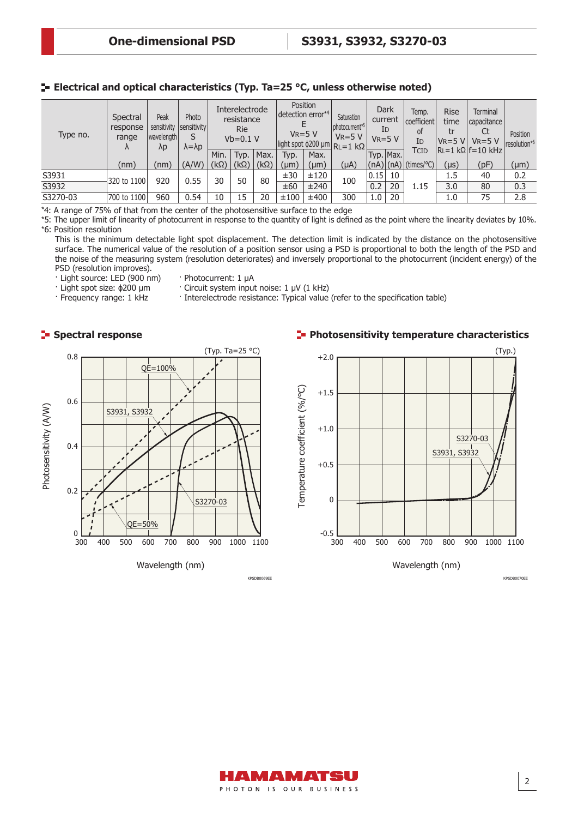## **E** Electrical and optical characteristics (Typ. Ta=25 °C, unless otherwise noted)

| Type no. | Spectral<br>response<br>range<br>Λ | Peak<br>sensitivity<br>  wavelength  <br>$\lambda p$ | Photo<br>sensitivity<br>$\lambda = \lambda p$ |             | Interelectrode<br>resistance<br><b>Rie</b><br>$Vb=0.1 V$ |             | Position<br>detection error*4<br>$V_R = 5 V$<br>light spot $\phi$ 200 µm RL=1 kΩ |           | Saturation<br>photocurrent <sup>*5</sup><br>$V_R = 5 V$ | Dark<br>current<br>Id<br>$V_R = 5 V$ |           | Temp.<br>coefficient<br>of<br>ΙD                     | <b>Rise</b><br>time<br>tr<br>$V_R = 5 V$ | <b>Terminal</b><br>l capacitance l<br>Ct<br>$V_R = 5 V$ | Position<br>resolution* <sup>6</sup> |
|----------|------------------------------------|------------------------------------------------------|-----------------------------------------------|-------------|----------------------------------------------------------|-------------|----------------------------------------------------------------------------------|-----------|---------------------------------------------------------|--------------------------------------|-----------|------------------------------------------------------|------------------------------------------|---------------------------------------------------------|--------------------------------------|
|          |                                    |                                                      |                                               | Min.        | Typ.                                                     | Max.        | Typ.                                                                             | Max.      |                                                         |                                      | Typ. Max. | <b>TCID</b>                                          |                                          | $ R_l = 1 k\Omega f = 10 kHz $                          |                                      |
|          | (nm)                               | (nm)                                                 | (A/W)                                         | $(k\Omega)$ | $(k\Omega)$                                              | $(k\Omega)$ | (µm)                                                                             | $(\mu m)$ | (µA)                                                    |                                      |           | $\vert$ (nA) $\vert$ (nA) $\vert$ (times/°C) $\vert$ | $(\mu s)$                                | (pF)                                                    | $(\mu m)$                            |
| S3931    | 320 to 1100                        | 920                                                  | 0.55                                          | 50<br>30    |                                                          | 80          | ±30                                                                              | ±120      | 100                                                     | 0.15                                 | 10        |                                                      | 1.5                                      | 40                                                      | 0.2                                  |
| S3932    |                                    |                                                      |                                               |             |                                                          | ±60         | ±240                                                                             |           | 0.2                                                     | 20                                   | 1.15      | 3.0                                                  | 80                                       | 0.3                                                     |                                      |
| S3270-03 | 700 to 1100                        | 960                                                  | 0.54                                          | 10          | 15                                                       | 20          | ±100                                                                             | ±400      | 300                                                     | 1.0                                  | 20        |                                                      | 1.0                                      | 75                                                      | 2.8                                  |

\*4: A range of 75% of that from the center of the photosensitive surface to the edge

\*5: The upper limit of linearity of photocurrent in response to the quantity of light is defined as the point where the linearity deviates by 10%. \*6: Position resolution

This is the minimum detectable light spot displacement. The detection limit is indicated by the distance on the photosensitive surface. The numerical value of the resolution of a position sensor using a PSD is proportional to both the length of the PSD and the noise of the measuring system (resolution deteriorates) and inversely proportional to the photocurrent (incident energy) of the PSD (resolution improves).

· Light source: LED (900 nm) · Photocurrent: 1 µA

· Light spot size: ϕ200 µm · Circuit system input noise: 1 μV (1 kHz)<br>· Frequency range: 1 kHz · Interelectrode resistance: Typical value · Interelectrode resistance: Typical value (refer to the specification table)

## **Spectral response**



Wavelength (nm)

KPSDB0069EE

## **Photosensitivity temperature characteristics**



Wavelength (nm)

KPSDB0070EE

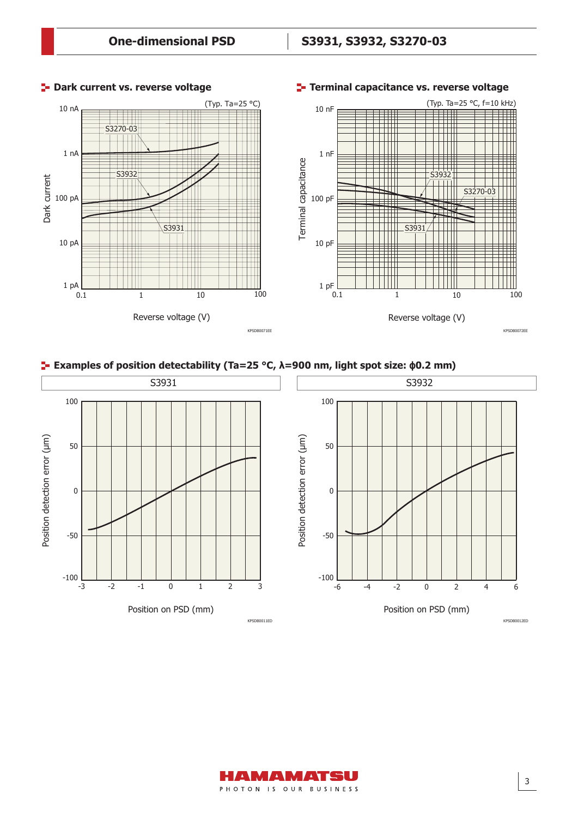

#### **P** Dark current vs. reverse voltage

## **Terminal capacitance vs. reverse voltage**

## **Examples of position detectability (Ta=25 °C, λ=900 nm, light spot size: ϕ0.2 mm)**





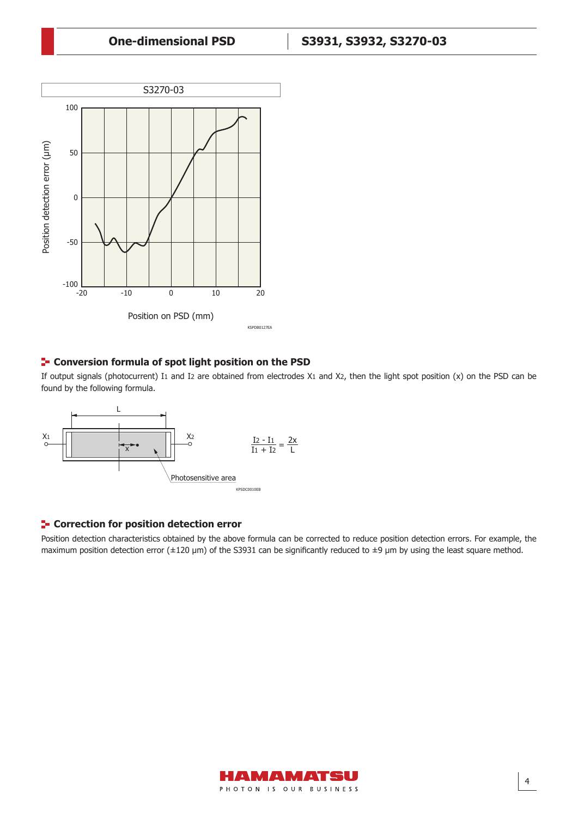

## **<sup>1</sup>- Conversion formula of spot light position on the PSD**

If output signals (photocurrent) I1 and I2 are obtained from electrodes X1 and X2, then the light spot position (x) on the PSD can be found by the following formula.



## **F** Correction for position detection error

Position detection characteristics obtained by the above formula can be corrected to reduce position detection errors. For example, the maximum position detection error ( $\pm 120 \text{ }\mu\text{m}$ ) of the S3931 can be significantly reduced to  $\pm 9 \text{ }\mu\text{m}$  by using the least square method.



4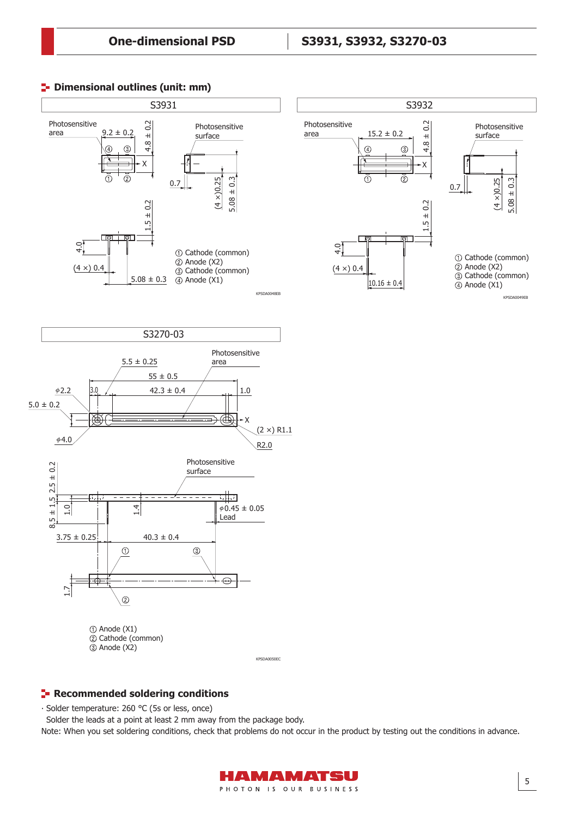





5



Cathode (common) Anode (X2)

KPSDA0050EC

#### **Recommended soldering conditions**

∙ Solder temperature: 260 °C (5s or less, once)

Solder the leads at a point at least 2 mm away from the package body.

Note: When you set soldering conditions, check that problems do not occur in the product by testing out the conditions in advance.